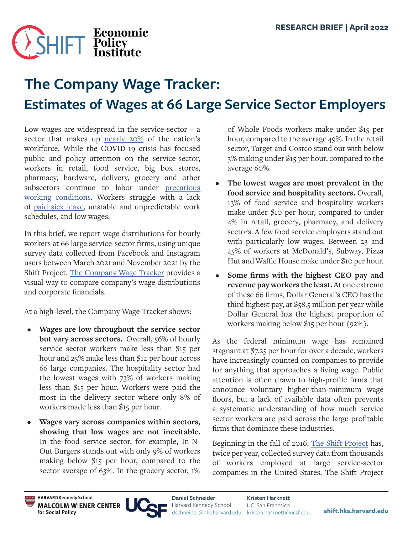# SHIFT Policy **The Company Wage Tracker: Estimates of Wages at 66 Large Service Sector Employers**

Low wages are widespread in the service-sector – a sector that makes up [nearly 20%](https://www.bls.gov/emp/tables/employment-by-major-industry-sector.htm) of the nation's workforce. While the COVID-19 crisis has focused public and policy attention on the service-sector, workers in retail, food service, big box stores, pharmacy, hardware, delivery, grocery and other subsectors continue to labor under [precarious](https://shift.hks.harvard.edu/still-unstable/) [working conditions.](https://shift.hks.harvard.edu/still-unstable/) Workers struggle with a lack of [paid sick leave](https://shift.hks.harvard.edu/essential-and-vulnerable-service-sector-workers-and-paid-sick-leave/), unstable and unpredictable work schedules, and low wages.

In this brief, we report wage distributions for hourly workers at 66 large service-sector firms, using unique survey data collected from Facebook and Instagram users between March 2021 and November 2021 by the Shift Project. [The Company Wage Tracker](https://www.epi.org/company-wage-tracker/
) provides a visual way to compare company's wage distributions and corporate financials.

At a high-level, the Company Wage Tracker shows:

- **• Wages are low throughout the service sector but vary across sectors.** Overall, 56% of hourly service sector workers make less than \$15 per hour and 25% make less than \$12 per hour across 66 large companies. The hospitality sector had the lowest wages with 73% of workers making less than \$15 per hour. Workers were paid the most in the delivery sector where only 8% of workers made less than \$15 per hour.
- **• Wages vary across companies within sectors, showing that low wages are not inevitable.** In the food service sector, for example, In-N-Out Burgers stands out with only 9% of workers making below \$15 per hour, compared to the sector average of 63%. In the grocery sector, 1%

of Whole Foods workers make under \$15 per hour, compared to the average 49%. In the retail sector, Target and Costco stand out with below 3% making under \$15 per hour, compared to the average 60%.

- **• The lowest wages are most prevalent in the food service and hospitality sectors.** Overall, 13% of food service and hospitality workers make under \$10 per hour, compared to under 4% in retail, grocery, pharmacy, and delivery sectors. A few food service employers stand out with particularly low wages: Between 23 and 25% of workers at McDonald's, Subway, Pizza Hut and Waffle House make under \$10 per hour.
- **• Some firms with the highest CEO pay and revenue pay workers the least.** At one extreme of these 66 firms, Dollar General's CEO has the third highest pay, at  $$58.5$  million per year while Dollar General has the highest proportion of workers making below \$15 per hour (92%).

As the federal minimum wage has remained stagnant at \$7.25 per hour for over a decade, workers have increasingly counted on companies to provide for anything that approaches a living wage. Public attention is often drawn to high-profile firms that announce voluntary higher-than-minimum wage floors, but a lack of available data often prevents a systematic understanding of how much service sector workers are paid across the large profitable firms that dominate these industries.

Beginning in the fall of 2016, [The Shift Project](https://shift.hks.harvard.edu/) has, twice per year, collected survey data from thousands of workers employed at large service-sector companies in the United States. The Shift Project

**Daniel Schneider** Harvard Kennedy School [dschneider@hks.harvard.edu](mailto:dschneider%40hks.harvard.edu?subject=) **Kristen Harknett** UC, San Francsico [kristen.harknett@ucsf.edu](mailto:kristen.harknett%40ucsf.edu?subject=Working%20in%20the%20Service%20Sector%20in%20New%20Jersey)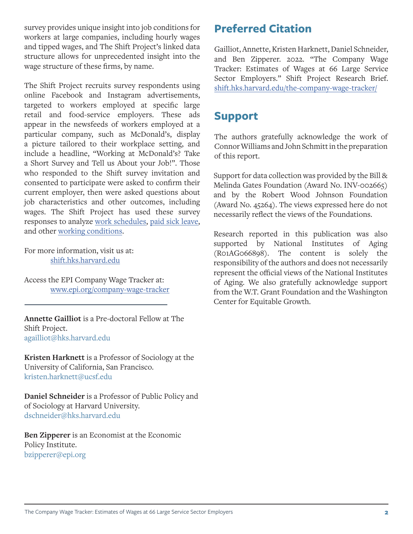survey provides unique insight into job conditions for workers at large companies, including hourly wages and tipped wages, and The Shift Project's linked data structure allows for unprecedented insight into the wage structure of these firms, by name.

The Shift Project recruits survey respondents using online Facebook and Instagram advertisements, targeted to workers employed at specific large retail and food-service employers. These ads appear in the newsfeeds of workers employed at a particular company, such as McDonald's, display a picture tailored to their workplace setting, and include a headline, "Working at McDonald's? Take a Short Survey and Tell us About your Job!". Those who responded to the Shift survey invitation and consented to participate were asked to confirm their current employer, then were asked questions about job characteristics and other outcomes, including wages. The Shift Project has used these survey responses to analyze [work schedules,](https://shift.hks.harvard.edu/still-unstable/) [paid sick leave,](https://shift.hks.harvard.edu/essential-and-vulnerable-service-sector-workers-and-paid-sick-leave/) and other [working conditions](https://shift.hks.harvard.edu/essential-and-unprotected-covid-19-related-health-and-safety-procedures-for-service-sector-workers/).

For more information, visit us at: [shift.hks.harvard.edu](http://shift.hks.harvard.edu)

Access the EPI Company Wage Tracker at: [www.epi.org/company-wage-tracker](http://www.epi.org/company-wage-tracker)

**Annette Gailliot** is a Pre-doctoral Fellow at The Shift Project. agaillio[t@hks.harvard.edu](http://dschneider@hks.harvard.edu)

**Kristen Harknett** is a Professor of Sociology at the University of California, San Francisco. kristen.harknett@ucsf.edu

**Daniel Schneider** is a Professor of Public Policy and of Sociology at Harvard University. dschneide[r@hks.harvard.edu](http://dschneider@hks.harvard.edu)

**Ben Zipperer** is an Economist at the Economic Policy Institute. bzipperer@epi.org

## **Preferred Citation**

Gailliot, Annette, Kristen Harknett, Daniel Schneider, and Ben Zipperer. 2022. "The Company Wage Tracker: Estimates of Wages at 66 Large Service Sector Employers." Shift Project Research Brief. [shift.hks.harvard.edu/the-company-wage-tracker/](http://shift.hks.harvard.edu/the-company-wage-tracker/)

### **Support**

The authors gratefully acknowledge the work of Connor Williams and John Schmitt in the preparation of this report.

Support for data collection was provided by the Bill & Melinda Gates Foundation (Award No. INV-002665) and by the Robert Wood Johnson Foundation (Award No. 45264). The views expressed here do not necessarily reflect the views of the Foundations.

Research reported in this publication was also supported by National Institutes of Aging (R01AG066898). The content is solely the responsibility of the authors and does not necessarily represent the official views of the National Institutes of Aging. We also gratefully acknowledge support from the W.T. Grant Foundation and the Washington Center for Equitable Growth.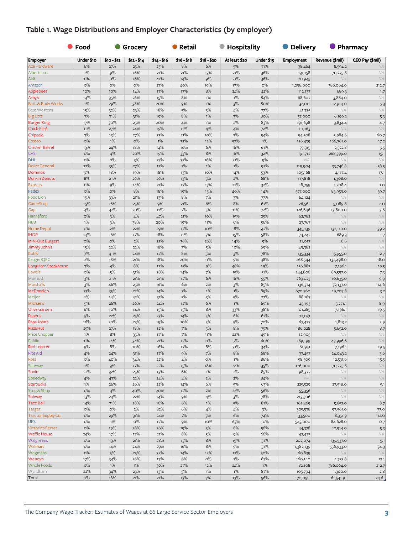#### **Table 1. Wage Distributions and Employer Characteristics (by employer)**

|                           | ● Food     | <b>Grocery</b> |             |             | • Retail    |             | Hospitality   |            | <b>Delivery</b>    | <b>Pharmacy</b> |                   |
|---------------------------|------------|----------------|-------------|-------------|-------------|-------------|---------------|------------|--------------------|-----------------|-------------------|
| Employer                  | Under \$10 | \$10 - \$12    | \$12 - \$14 | $$14 - $16$ | $$16 - $18$ | $$18 - $20$ | At least \$20 | Under \$15 | <b>Employment</b>  | Revenue (\$mil) | CEO Pay (\$mil)   |
| Ace Hardware              | 6%         | 27%            | 25%         | 23%         | 8%          | 6%          | 5%            | 71%        | 38,464             | 8,594.2         | <b>NA</b>         |
| Albertsons                | 1%         | 9%             | 16%         | 21%         | 21%         | 13%         | 21%           | 36%        | 131,158            | 70,275.8        | <b>NA</b>         |
| Aldi                      | $O\%$      | $O\%$          | 16%         | 41%         | 14%         | 9%          | 21%           | 36%        | 20,945             | NA              | <b>NA</b>         |
| Amazon                    | O%         | $O\%$          | O%          | 27%         | 40%         | 19%         | 13%           | 0%         | 1,298,000          | 386,064.0       | 212.7             |
| Applebees                 | 10%        | 10%            | 14%         | 17%         | 17%         | 8%          | 24%           | 42%        | 112,137            | 689.3           | 1.7               |
| Arby's                    | 14%        | 35%            | 26%         | 15%         | 8%          | 1%          | 1%            | 84%        | 68,607             | 3,884.0         | ΝA                |
| Bath & Body Works         | 1%         | 29%            | 38%         | 20%         | 9%          | 1%          | 3%            | 80%        | 32,012             | 12,914.0        | 5.3               |
| Best Western              | 15%        | 32%            | 23%         | 18%         | 5%          | 3%          | 4%            | 77%        | 41,725             | <b>NA</b>       | ΝA                |
| <b>Big Lots</b>           | 7%         | 31%            | 31%         | 19%         | 8%          | 1%          | 3%            | 80%        | 37,000             | 6,199.2         | 5.3               |
| <b>Burger King</b>        | 17%        | 30%            | 25%         | 20%         | 4%          | 1%          | 2%            | 83%        | 191,698            | 3,834.4         | 4.7               |
| Chick-Fil-A               | 11%        | 27%            | 24%         | 19%         | 11%         | 4%          | 4%            | 72%        | 111,163            | <b>NA</b>       | <b>NA</b>         |
| Chipotle                  | 3%         | 13%            | 27%         | 23%         | 21%         | 10%         | 3%            | 54%        | 54,508             | 5,984.6         | 60.7              |
| Costco                    | $O\%$      | 1%             | $O\%$       | $1\%$       | 32%         | 12%         | 53%           | 1%         | 126,439            | 166,761.0       | 17.2              |
| Cracker Barrel            | 13%        | 24%            | 18%         | 14%         | 10%         | 6%          | 16%           | 61%        | 77,315             | 2,522.8         | 5.5               |
| <b>CVS</b>                | $O\%$      | 4%             | 20%         | 19%         | 33%         | 8%          | 16%           | 32%        | 191,712            | 268,399.0       | 15.1              |
| <b>DHL</b>                | $O\%$      | $O\%$          | 3%          | 27%         | 32%         | 16%         | 21%           | 9%         | ΝA                 | <b>NA</b>       | ΝA                |
| <b>Dollar General</b>     | 22%        | 35%            | 27%         | 12%         | 2%          | 1%          | 1%            | 92%        |                    |                 | 58.5              |
| Domino's                  |            | 18%            |             | 18%         |             | 10%         |               |            | 119,904            | 33,746.8        |                   |
| <b>Dunkin Donuts</b>      | 9%<br>8%   | 21%            | 19%<br>26%  | 26%         | 13%         | 3%          | 14%<br>2%     | 53%<br>68% | 105,168<br>117,818 | 4,117.4         | 17.1<br><b>NA</b> |
|                           |            |                |             |             | 13%         |             |               |            |                    | 1,308.0         |                   |
| <b>Express</b>            | $O\%$      | 9%             | 14%         | 21%         | 17%         | 17%         | 22%           | 32%        | 18,759             | 1,208.4         | 1.0               |
| Fedex                     | O%         | $O\%$          | 8%          | 18%         | 19%         | 15%         | 40%           | 14%        | 577,000            | 83,959.0        | 39.7              |
| Food Lion                 | 15%        | 33%            | 21%         | 13%         | 8%          | 7%          | 3%            | 77%        | 64,124             | NA              | ΝA                |
| GameStop                  | 15%        | 16%            | 25%         | 9%          | 21%         | 6%          | $8\%$         | 61%        | 26,562             | 5,089.8         | 2.0               |
| Gap                       | 4%         | 42%            | 20%         | 11%         | 7%          | 5%          | 11%           | 72%        | 126,646            | 13,800.0        | 3.6               |
| Hannaford                 | O%         | 3%             | 4%          | 47%         | 21%         | 10%         | 15%           | 25%        | 62,782             | NA              | ΝA                |
| <b>HEB</b>                | 1%         | 3%             | 38%         | 20%         | 19%         | 11%         | 6%            | 56%        | 23,767             | <b>NA</b>       | ΝA                |
| Home Depot                | $O\%$      | 2%             | 22%         | 29%         | 17%         | 10%         | 18%           | 42%        | 345,139            | 132,110.0       | 39.2              |
| <b>IHOP</b>               | 14%        | 16%            | 17%         | 18%         | 11%         | 7%          | 15%           | 58%        | 74,242             | 689.3           | 1.7               |
| In-N-Out Burgers          | O%         | $O\%$          | 2%          | 22%         | 36%         | 26%         | 14%           | 9%         | 21,017             | 6.6             | <b>NA</b>         |
| Jimmy John's              | 15%        | 22%            | 22%         | 18%         | 7%          | 5%          | 10%           | 69%        | 49,382             | ΝA              | ΝA                |
| Kohls                     | 7%         | 41%            | 24%         | 12%         | 8%          | 5%          | 3%            | 78%        | 135,334            | 15,955.0        | 12.7              |
| Kroger/QFC                | 2%         | 18%            | 21%         | 18%         | 20%         | 11%         | 9%            | 48%        | 268,544            | 132,498.0       | 18.0              |
| LongHorn Steakhouse       | 3%         | 4%             | 8%          | 13%         | 15%         | 9%          | 48%           | 19%        | 156,883            | 7,196.1         | 19.5              |
| Lowe's                    | O%         | 5%             | 31%         | 28%         | 14%         | 7%          | 15%           | 51%        | 244,806            | 89,597.0        | 7.3               |
| Marriott                  | 3%         | 21%            | 21%         | 21%         | 12%         | 6%          | 16%           | 55%        | 263,023            | 10,635.0        | 9.9               |
| Marshalls                 | 3%         | 46%            | 25%         | 16%         | 6%          | 2%          | 3%            | 85%        | 136,314            | 32,137.0        | 14.6              |
| McDonald's                | 23%        | 35%            | 22%         | 14%         | 3%          | 1%          | 1%            | 89%        | 670,760            | 19,207.8        | 3.2               |
| Meijer                    | 1%         | 14%            | 42%         | 31%         | 5%          | 3%          | 5%            | 77%        | 88,167             | NA              | ΝA                |
| Michaels                  | 5%         | 26%            | 26%         | 24%         | 12%         | 6%          | 1%            | 69%        | 43,193             | 5,271.1         | 8.9               |
| Olive Garden              | 6%         | 10%            | 14%         | 15%         | 15%         | 8%          | 33%           | 38%        | 101,285            | 7,196.1         | 19.5              |
| Panera                    | 5%         | 22%            | 25%         | 23%         | 14%         | 5%          | 6%            | 62%        | 72,031             | <b>NA</b>       | ΝA                |
| Papa John's               | 16%        | 20%            | 23%         | 19%         | 10%         | 5%          | 5%            | 70%        | 67,477             | 1,813.2         | 2.9               |
| Pizza Hut                 | 25%        | 27%            | 18%         | 12%         | 7%          | 3%          | 8%            | 75%        | 186,028            | 5,652.0         | 8.7               |
| Price Chopper             | 1%         | 8%             | 35%         | 17%         | 7%          | 11%         | 22%           | 49%        | 12,905             | ΝA              | ΝA                |
| Publix                    | $O\%$      | 14%            | 34%         | 21%         | 12%         | 11%         | 7%            | 60%        | 169,199            | 47,996.6        | ΝA                |
| Red Lobster               | 9%         | 8%             | 10%         | 16%         | 17%         | 8%          | 31%           | 34%        | 61,951             | 7,196.1         | 19.5              |
| <b>Rite Aid</b>           | 4%         | 24%            | 31%         | 17%         | 9%          | 7%          | $8\%$         | 68%        | 33,457             | 24,043.2        | 3.6               |
| Ross                      | $O\%$      | 40%            | 34%         | 22%         | 4%          | O%          | 1%            | 86%        | 58,509             | 12,531.6        | 15.5              |
| Safeway                   | $1\%$      | 3%             | 17%         | 22%         | 15%         | 18%         | 24%           | 35%        | 126,000            | 70,275.8        | ΝA                |
| Sonic                     | 22%        | 32%            | 25%         | 13%         | 6%          | 1%          | 2%            | 85%        | 98,377             | <b>NA</b>       | ΝA                |
| Speedway                  | 4%         | 43%            | 22%         | 24%         | 4%          | 2%          | 2%            | 84%        | <b>NA</b>          | $N\!A$          | NA                |
| <b>Starbucks</b>          | 1%         | 26%            | 26%         | 22%         | 14%         | 6%          | 5%            | 63%        | 225,529            | 23,518.0        |                   |
| Stop & Shop               | O%         | 4%             | 40%         | 20%         | 12%         | 2%          | 22%           |            |                    | $N\!A$          | 5.1<br>ΝA         |
|                           |            |                | 22%         |             |             |             |               | 56%        | 55,356             | <b>NA</b>       | ΝA                |
| Subway                    | 23%        | 24%            |             | 14%         | 9%          | 4%          | 3%            | 78%        | 213,506            |                 |                   |
| Taco Bell                 | 14%        | 31%            | 28%         | 16%         | 6%          | 1%          | 5%            | 81%        | 162,469            | 5,652.0         | 8.7               |
| Target                    | O%         | O%             | 2%          | 82%         | 6%          | 4%          | 4%            | 3%         | 305,538            | 93,561.0        | 77.0              |
| <b>Tractor Supply Co.</b> | O%         | 29%            | 31%         | 24%         | 7%          | 3%          | 6%            | 74%        | 33,500             | 8,351.9         | 12.0              |
| <b>UPS</b>                | O%         | 1%             | о%          | 17%         | 9%          | 10%         | 63%           | 10%        | 543,000            | 84,628.0        | O.7               |
| Victoria's Secret         | O%         | 19%            | 28%         | 26%         | 19%         | 3%          | 6%            | 56%        | 44,378             | 12,914.0        | 5.3               |
| <b>Waffle House</b>       | 24%        | 17%            | 17%         | 21%         | 8%          | 5%          | 9%            | 66%        | 42,473             | NA              | <b>NA</b>         |
| Walgreens                 | O%         | 13%            | 21%         | 28%         | 13%         | 8%          | 15%           | 51%        | 202,074            | 139,537.0       | 5.1               |
| Walmart                   | O%         | 14%            | 24%         | 29%         | 16%         | 8%          | 9%            | 51%        | 1,387,139          | 556,933.0       | 34.3              |
| Wegmans                   | O%         | 5%             | 25%         | 32%         | 14%         | 12%         | 12%           | 50%        | 60,839             | <b>NA</b>       | <b>NA</b>         |
| Wendy's                   | 17%        | 34%            | 26%         | 17%         | 6%          | 0%          | 2%            | 87%        | 160,140            | 1,733.8         | 13.1              |
| Whole Foods               | $O\%$      | 1%             | 1%          | 36%         | 27%         | 12%         | 24%           | 1%         | 82,108             | 386,064.0       | 212.7             |
| Wyndham                   | 22%        | 34%            | 23%         | 13%         | 5%          | 1%          | 1%            | 87%        | 105,794            | 1,300.0         | 2.8               |
| Total                     | 7%         | 18%            | 21%         | 21%         | 13%         | 7%          | 13%           | 56%        | 170,051            | 61,541.9        | 24.6              |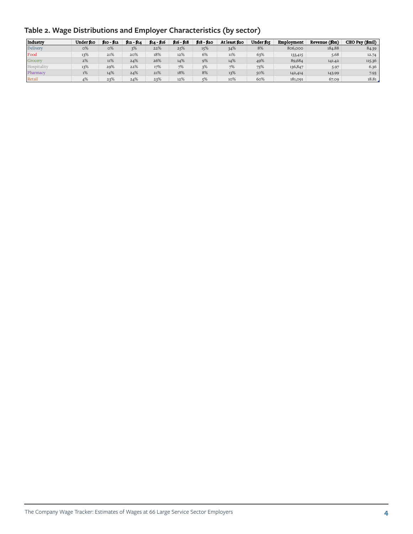| Table 2. Wage Distributions and Employer Characteristics (by sector) |
|----------------------------------------------------------------------|
|----------------------------------------------------------------------|

| Industry    | Under \$10 | $$10 - $12$ | $$12 - $14$ | $$14 - $16$ | $$16 - $18$ | $$18 - $20$ | At least \$20 | Under S15 | Employment | Revenue (\$bn) | CEO Pav (\$mil) |
|-------------|------------|-------------|-------------|-------------|-------------|-------------|---------------|-----------|------------|----------------|-----------------|
| Delivery    | $O\%$      | $O\%$       | 3%          | 22%         | 25%         | 15%         | 34%           | 8%        | 806,000    | 184.88         | 84.39           |
| Food        | 13%        | 21%         | 20%         | 18%         | 12%         | 6%          | 11%           | 63%       | 133,415    | 5.68           | 12.74           |
| Grocery     | 2%         | 11%         | 24%         | 26%         | 14%         | 9%          | 14%           | 49%       | 89,684     | 141.42         | 115.36          |
| Hospitality | 13%        | 29%         | 22%         | 17%         | 7%          | 3%          | 7%            | 73%       | 136,847    | 5.97           | 6.36            |
| Pharmacy    | 1%         | 14%         | 24%         | 21%         | 18%         | 8%          | 13%           | 50%       | 142,414    | 143.99         | 7.93            |
| Retail      | 4%         | 23%         | 24%         | 23%         | 12%         | 5%          | 10%           | 60%       | 181,091    | 67.09          | 18.81           |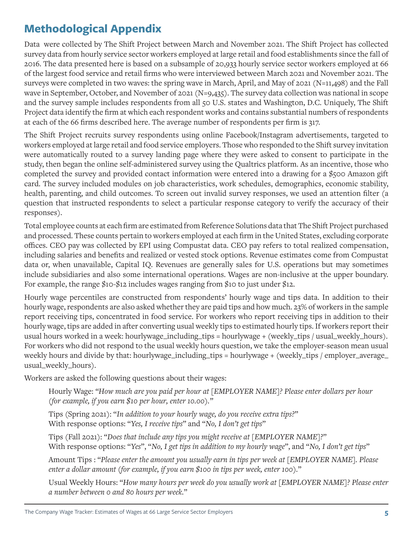## **Methodological Appendix**

Data were collected by The Shift Project between March and November 2021. The Shift Project has collected survey data from hourly service sector workers employed at large retail and food establishments since the fall of 2016. The data presented here is based on a subsample of 20,933 hourly service sector workers employed at 66 of the largest food service and retail firms who were interviewed between March 2021 and November 2021. The surveys were completed in two waves: the spring wave in March, April, and May of 2021 (N=11,498) and the Fall wave in September, October, and November of 2021 (N=9,435). The survey data collection was national in scope and the survey sample includes respondents from all 50 U.S. states and Washington, D.C. Uniquely, The Shift Project data identify the firm at which each respondent works and contains substantial numbers of respondents at each of the 66 firms described here. The average number of respondents per firm is 317.

The Shift Project recruits survey respondents using online Facebook/Instagram advertisements, targeted to workers employed at large retail and food service employers. Those who responded to the Shift survey invitation were automatically routed to a survey landing page where they were asked to consent to participate in the study, then began the online self-administered survey using the Qualtrics platform. As an incentive, those who completed the survey and provided contact information were entered into a drawing for a \$500 Amazon gift card. The survey included modules on job characteristics, work schedules, demographics, economic stability, health, parenting, and child outcomes. To screen out invalid survey responses, we used an attention filter (a question that instructed respondents to select a particular response category to verify the accuracy of their responses).

Total employee counts at each firm are estimated from Reference Solutions data that The Shift Project purchased and processed. These counts pertain to workers employed at each firm in the United States, excluding corporate offices. CEO pay was collected by EPI using Compustat data. CEO pay refers to total realized compensation, including salaries and benefits and realized or vested stock options. Revenue estimates come from Compustat data or, when unavailable, Capital IQ. Revenues are generally sales for U.S. operations but may sometimes include subsidiaries and also some international operations. Wages are non-inclusive at the upper boundary. For example, the range \$10-\$12 includes wages ranging from \$10 to just under \$12.

Hourly wage percentiles are constructed from respondents' hourly wage and tips data. In addition to their hourly wage, respondents are also asked whether they are paid tips and how much. 23% of workers in the sample report receiving tips, concentrated in food service. For workers who report receiving tips in addition to their hourly wage, tips are added in after converting usual weekly tips to estimated hourly tips. If workers report their usual hours worked in a week: hourlywage\_including\_tips = hourlywage + (weekly\_tips / usual\_weekly\_hours). For workers who did not respond to the usual weekly hours question, we take the employer-season mean usual weekly hours and divide by that: hourlywage\_including\_tips = hourlywage + (weekly\_tips / employer\_average\_ usual\_weekly\_hours).

Workers are asked the following questions about their wages:

Hourly Wage: *"How much are you paid per hour at [EMPLOYER NAME]? Please enter dollars per hour (for example, if you earn \$10 per hour, enter 10.00)."*

Tips (Spring 2021): "*In addition to your hourly wage, do you receive extra tips?*" With response options: "*Yes, I receive tips*" and "*No, I don't get tips*"

Tips (Fall 2021): "*Does that include any tips you might receive at [EMPLOYER NAME]?*" With response options: "*Yes*", "*No, I get tips in addition to my hourly wage*", and "*No, I don't get tips*"

Amount Tips : "*Please enter the amount you usually earn in tips per week at [EMPLOYER NAME]. Please enter a dollar amount (for example, if you earn \$100 in tips per week, enter 100).*"

Usual Weekly Hours: "*How many hours per week do you usually work at [EMPLOYER NAME]? Please enter a number between 0 and 80 hours per week.*"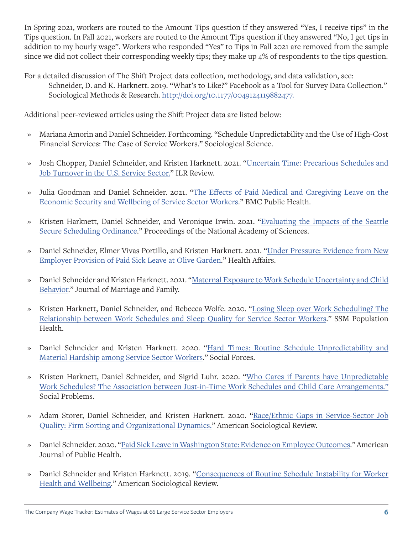In Spring 2021, workers are routed to the Amount Tips question if they answered "Yes, I receive tips" in the Tips question. In Fall 2021, workers are routed to the Amount Tips question if they answered "No, I get tips in addition to my hourly wage". Workers who responded "Yes" to Tips in Fall 2021 are removed from the sample since we did not collect their corresponding weekly tips; they make up 4% of respondents to the tips question.

For a detailed discussion of The Shift Project data collection, methodology, and data validation, see: Schneider, D. and K. Harknett. 2019. "What's to Like?" Facebook as a Tool for Survey Data Collection." Sociological Methods & Research. [http://doi.org/10.1177/0049124119882477.](http://doi.org/10.1177/0049124119882477. ) 

Additional peer-reviewed articles using the Shift Project data are listed below:

- » Mariana Amorin and Daniel Schneider. Forthcoming. "Schedule Unpredictability and the Use of High-Cost Financial Services: The Case of Service Workers." Sociological Science.
- » Josh Chopper, Daniel Schneider, and Kristen Harknett. 2021. "[Uncertain Time: Precarious Schedules and](https://doi.org/10.1177/00197939211048484)  [Job Turnover in the U.S. Service Sector.](https://doi.org/10.1177/00197939211048484)" ILR Review.
- » Julia Goodman and Daniel Schneider. 2021. "[The Effects of Paid Medical and Caregiving Leave on the](https://bmcpublichealth.biomedcentral.com/articles/10.1186/s12889-021-11999-9) [Economic Security and Wellbeing of Service Sector Workers](https://bmcpublichealth.biomedcentral.com/articles/10.1186/s12889-021-11999-9)." BMC Public Health.
- » Kristen Harknett, Daniel Schneider, and Veronique Irwin. 2021. ["Evaluating the Impacts of the Seattle](https://www.dol.gov/sites/dolgov/files/OASP/evaluation/pdf/LRE_Harknett-EvaluatingImpactsSeattleSecureSchOrdinance_December2020.pdf)  [Secure Scheduling Ordinance](https://www.dol.gov/sites/dolgov/files/OASP/evaluation/pdf/LRE_Harknett-EvaluatingImpactsSeattleSecureSchOrdinance_December2020.pdf)." Proceedings of the National Academy of Sciences.
- » Daniel Schneider, Elmer Vivas Portillo, and Kristen Harknett. 2021. ["Under Pressure: Evidence from New](https://doi.org/10.1377/hlthaff.2020.02320) [Employer Provision of Paid Sick Leave at Olive Garden.](https://doi.org/10.1377/hlthaff.2020.02320)" Health Affairs.
- » Daniel Schneider and Kristen Harknett. 2021. ["Maternal Exposure to Work Schedule Uncertainty and Child](http://doi.org/10.1111/jomf.12800)  [Behavior](http://doi.org/10.1111/jomf.12800)." Journal of Marriage and Family.
- » Kristen Harknett, Daniel Schneider, and Rebecca Wolfe. 2020. "[Losing Sleep over Work Scheduling? The](http://doi.org/10.1016/j.ssmph.2020.100681) [Relationship between Work Schedules and Sleep Quality for Service Sector Workers.](http://doi.org/10.1016/j.ssmph.2020.100681)" SSM Population Health.
- » Daniel Schneider and Kristen Harknett. 2020. ["Hard Times: Routine Schedule Unpredictability and](http://doi-org/10.1093/sf/soaa079) [Material Hardship among Service Sector Workers.](http://doi-org/10.1093/sf/soaa079)" Social Forces.
- » Kristen Harknett, Daniel Schneider, and Sigrid Luhr. 2020. ["Who Cares if Parents have Unpredictable](http://doi-org/10.1093/socpro/spaa020)  [Work Schedules? The Association between Just-in-Time Work Schedules and Child Care Arrangements."](http://doi-org/10.1093/socpro/spaa020) Social Problems.
- » Adam Storer, Daniel Schneider, and Kristen Harknett. 2020. ["Race/Ethnic Gaps in Service-Sector Job](http://doi.org/10.1177/0003122420930018) [Quality: Firm Sorting and Organizational Dynamics.](http://doi.org/10.1177/0003122420930018)" American Sociological Review.
- » Daniel Schneider. 2020. "[Paid Sick Leave in Washington State: Evidence on Employee Outcomes](http://doi.org/10.2105/AJPH.2019.305481)." American Journal of Public Health.
- » Daniel Schneider and Kristen Harknett. 2019. "[Consequences of Routine Schedule Instability for Worker](http://doi.org/10.1177/0003122418823184) [Health and Wellbeing](http://doi.org/10.1177/0003122418823184)." American Sociological Review.